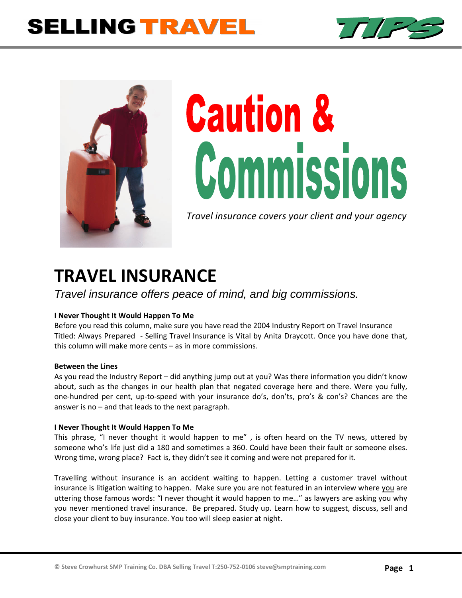## **SELLING TRAVEL**





# **Caution &** Commissions

*Travel insurance covers your client and your agency*

### **TRAVEL INSURANCE**

*Travel insurance offers peace of mind, and big commissions.* 

#### **I Never Thought It Would Happen To Me**

Before you read this column, make sure you have read the 2004 Industry Report on Travel Insurance Titled: Always Prepared ‐ Selling Travel Insurance is Vital by Anita Draycott. Once you have done that, this column will make more cents – as in more commissions.

#### **Between the Lines**

As you read the Industry Report – did anything jump out at you? Was there information you didn't know about, such as the changes in our health plan that negated coverage here and there. Were you fully, one‐hundred per cent, up‐to‐speed with your insurance do's, don'ts, pro's & con's? Chances are the answer is no – and that leads to the next paragraph.

#### **I Never Thought It Would Happen To Me**

This phrase, "I never thought it would happen to me" , is often heard on the TV news, uttered by someone who's life just did a 180 and sometimes a 360. Could have been their fault or someone elses. Wrong time, wrong place? Fact is, they didn't see it coming and were not prepared for it.

Travelling without insurance is an accident waiting to happen. Letting a customer travel without insurance is litigation waiting to happen. Make sure you are not featured in an interview where you are uttering those famous words: "I never thought it would happen to me…" as lawyers are asking you why you never mentioned travel insurance. Be prepared. Study up. Learn how to suggest, discuss, sell and close your client to buy insurance. You too will sleep easier at night.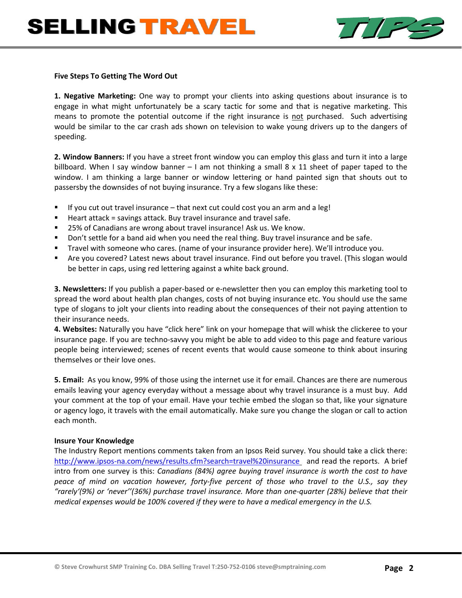

#### **Five Steps To Getting The Word Out**

**1. Negative Marketing:** One way to prompt your clients into asking questions about insurance is to engage in what might unfortunately be a scary tactic for some and that is negative marketing. This means to promote the potential outcome if the right insurance is not purchased. Such advertising would be similar to the car crash ads shown on television to wake young drivers up to the dangers of speeding.

**2. Window Banners:** If you have a street front window you can employ this glass and turn it into a large billboard. When I say window banner  $-1$  am not thinking a small 8 x 11 sheet of paper taped to the window. I am thinking a large banner or window lettering or hand painted sign that shouts out to passersby the downsides of not buying insurance. Try a few slogans like these:

- If you cut out travel insurance that next cut could cost you an arm and a leg!
- Heart attack = savings attack. Buy travel insurance and travel safe.
- 25% of Canadians are wrong about travel insurance! Ask us. We know.
- **Don't settle for a band aid when you need the real thing. Buy travel insurance and be safe.**
- Travel with someone who cares. (name of your insurance provider here). We'll introduce you.
- Are you covered? Latest news about travel insurance. Find out before you travel. (This slogan would be better in caps, using red lettering against a white back ground.

**3. Newsletters:** If you publish a paper‐based or e‐newsletter then you can employ this marketing tool to spread the word about health plan changes, costs of not buying insurance etc. You should use the same type of slogans to jolt your clients into reading about the consequences of their not paying attention to their insurance needs.

**4. Websites:** Naturally you have "click here" link on your homepage that will whisk the clickeree to your insurance page. If you are techno‐savvy you might be able to add video to this page and feature various people being interviewed; scenes of recent events that would cause someone to think about insuring themselves or their love ones.

**5. Email:** As you know, 99% of those using the internet use it for email. Chances are there are numerous emails leaving your agency everyday without a message about why travel insurance is a must buy. Add your comment at the top of your email. Have your techie embed the slogan so that, like your signature or agency logo, it travels with the email automatically. Make sure you change the slogan or call to action each month.

#### **Insure Your Knowledge**

The Industry Report mentions comments taken from an Ipsos Reid survey. You should take a click there: http://www.ipsos-na.com/news/results.cfm?search=travel%20insurance and read the reports. A brief intro from one survey is this: *Canadians (84%) agree buying travel insurance is worth the cost to have* peace of mind on vacation however, forty-five percent of those who travel to the U.S., say they *"rarely'(9%) or 'never''(36%) purchase travel insurance. More than one‐quarter (28%) believe that their medical expenses would be 100% covered if they were to have a medical emergency in the U.S.*